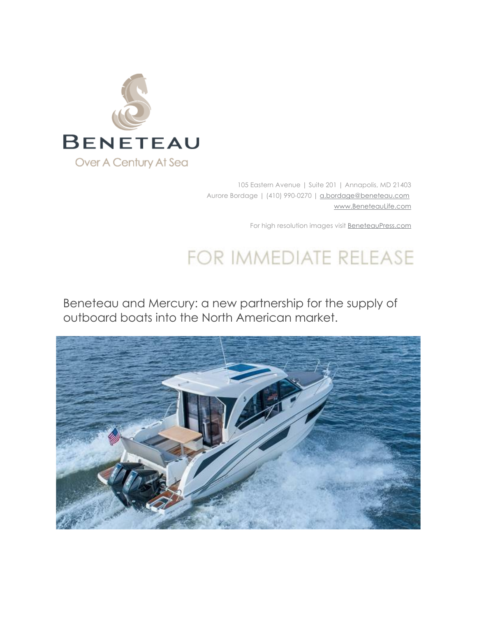

105 Eastern Avenue | Suite 201 | Annapolis, MD 21403 Aurore Bordage | (410) 990-0270 | a.bordage@beneteau.com www.BeneteauLife.com

For high resolution images visit **BeneteauPress.com** 

## FOR IMMEDIATE RELEASE

Beneteau and Mercury: a new partnership for the supply of outboard boats into the North American market.

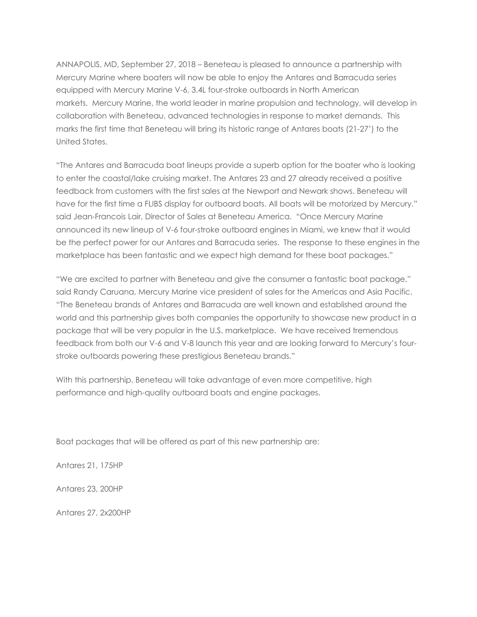ANNAPOLIS, MD, September 27, 2018 – Beneteau is pleased to announce a partnership with Mercury Marine where boaters will now be able to enjoy the Antares and Barracuda series equipped with Mercury Marine V-6, 3.4L four-stroke outboards in North American markets. Mercury Marine, the world leader in marine propulsion and technology, will develop in collaboration with Beneteau, advanced technologies in response to market demands. This marks the first time that Beneteau will bring its historic range of Antares boats (21-27') to the United States.

"The Antares and Barracuda boat lineups provide a superb option for the boater who is looking to enter the coastal/lake cruising market. The Antares 23 and 27 already received a positive feedback from customers with the first sales at the Newport and Newark shows. Beneteau will have for the first time a FLIBS display for outboard boats. All boats will be motorized by Mercury." said Jean-Francois Lair, Director of Sales at Beneteau America. "Once Mercury Marine announced its new lineup of V-6 four-stroke outboard engines in Miami, we knew that it would be the perfect power for our Antares and Barracuda series. The response to these engines in the marketplace has been fantastic and we expect high demand for these boat packages."

"We are excited to partner with Beneteau and give the consumer a fantastic boat package," said Randy Caruana, Mercury Marine vice president of sales for the Americas and Asia Pacific. "The Beneteau brands of Antares and Barracuda are well known and established around the world and this partnership gives both companies the opportunity to showcase new product in a package that will be very popular in the U.S. marketplace. We have received tremendous feedback from both our V-6 and V-8 launch this year and are looking forward to Mercury's fourstroke outboards powering these prestigious Beneteau brands."

With this partnership, Beneteau will take advantage of even more competitive, high performance and high-quality outboard boats and engine packages.

Boat packages that will be offered as part of this new partnership are:

Antares 21, 175HP

Antares 23, 200HP

Antares 27, 2x200HP